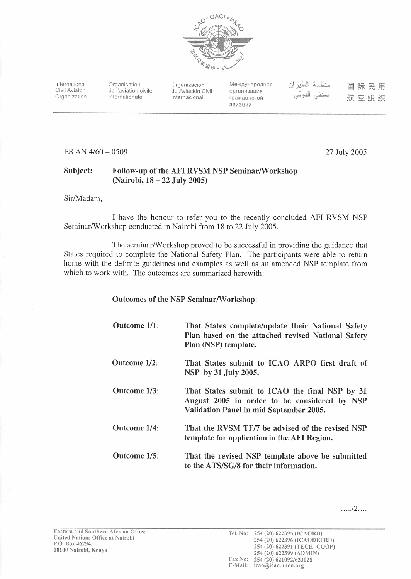

International Civil Aviaton Organization

Organisation de l'aviation civile internationale

Organización de Aviación Civil Internacional

Международная организация гражданской авиации

منظمة الطير ان المدنى الدولى

国际民用 航空组织

ES AN 4/60 - 0509

27 July 2005

#### Subject: Follow-up of the AFI RVSM NSP Seminar/Workshop (Nairobi, 18 - 22 July 2005)

Sir/Madam,

I have the honour to refer you to the recently concluded AFI RVSM NSP Seminar/Workshop conducted in Nairobi from 18 to 22 July 2005.

The seminar/Workshop proved to be successful in providing the guidance that States required to complete the National Safety Plan. The participants were able to return home with the definite guidelines and examples as well as an amended NSP template from which to work with. The outcomes are summarized herewith:

#### **Outcomes of the NSP Seminar/Workshop:**

| Outcome 1/1: | That States complete/update their National Safety<br>Plan based on the attached revised National Safety<br>Plan (NSP) template.           |
|--------------|-------------------------------------------------------------------------------------------------------------------------------------------|
| Outcome 1/2: | That States submit to ICAO ARPO first draft of<br>NSP by 31 July 2005.                                                                    |
| Outcome 1/3: | That States submit to ICAO the final NSP by 31<br>August 2005 in order to be considered by NSP<br>Validation Panel in mid September 2005. |
| Outcome 1/4: | That the RVSM TF/7 be advised of the revised NSP<br>template for application in the AFI Region.                                           |
| Outcome 1/5: | That the revised NSP template above be submitted<br>to the ATS/SG/8 for their information.                                                |

 $\ldots$ /2...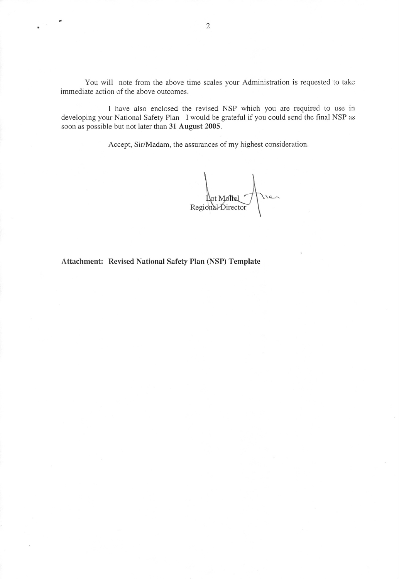You will note from the above time scales your Administration is requested to take immediate action of the above outcomes.

I have also enclosed the revised NSP which you are required to use in developing your National Safety Plan I would be grateful if you could send the final NSP as soon as possible but not later than 31 August 2005.

Accept, Sir/Madam, the assurances of my highest consideration.

Regional Director

Attachment: Revised National Safety Plan (NSP) Template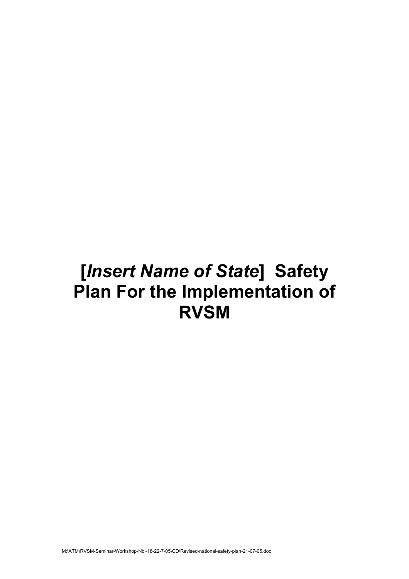# **[***Insert Name of State***] Safety Plan For the Implementation of RVSM**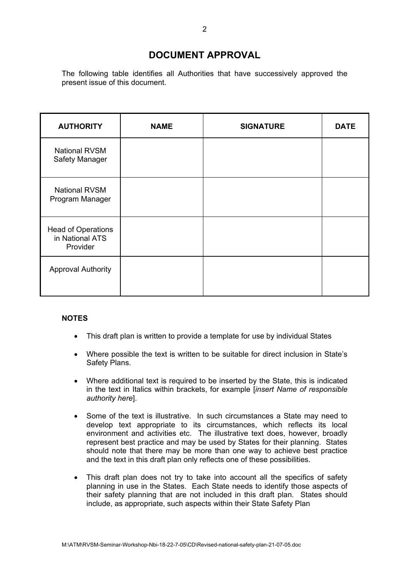## **DOCUMENT APPROVAL**

The following table identifies all Authorities that have successively approved the present issue of this document.

| <b>AUTHORITY</b>                                         | <b>NAME</b> | <b>SIGNATURE</b> | <b>DATE</b> |
|----------------------------------------------------------|-------------|------------------|-------------|
| <b>National RVSM</b><br>Safety Manager                   |             |                  |             |
| <b>National RVSM</b><br>Program Manager                  |             |                  |             |
| <b>Head of Operations</b><br>in National ATS<br>Provider |             |                  |             |
| <b>Approval Authority</b>                                |             |                  |             |

#### **NOTES**

- This draft plan is written to provide a template for use by individual States
- Where possible the text is written to be suitable for direct inclusion in State's Safety Plans.
- Where additional text is required to be inserted by the State, this is indicated in the text in Italics within brackets, for example [*insert Name of responsible authority here*].
- Some of the text is illustrative. In such circumstances a State may need to develop text appropriate to its circumstances, which reflects its local environment and activities etc. The illustrative text does, however, broadly represent best practice and may be used by States for their planning. States should note that there may be more than one way to achieve best practice and the text in this draft plan only reflects one of these possibilities.
- This draft plan does not try to take into account all the specifics of safety planning in use in the States. Each State needs to identify those aspects of their safety planning that are not included in this draft plan. States should include, as appropriate, such aspects within their State Safety Plan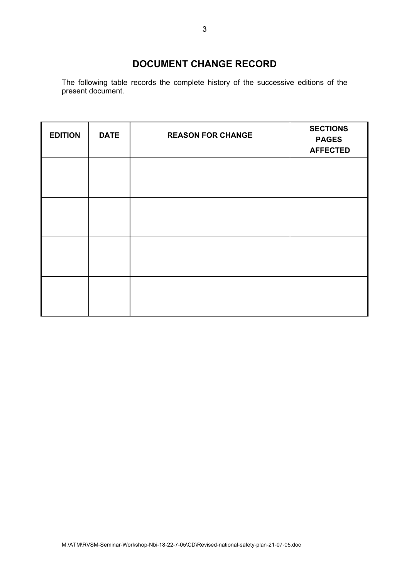## **DOCUMENT CHANGE RECORD**

The following table records the complete history of the successive editions of the present document.

| <b>EDITION</b> | <b>DATE</b> | <b>REASON FOR CHANGE</b> | <b>SECTIONS</b><br><b>PAGES</b><br><b>AFFECTED</b> |
|----------------|-------------|--------------------------|----------------------------------------------------|
|                |             |                          |                                                    |
|                |             |                          |                                                    |
|                |             |                          |                                                    |
|                |             |                          |                                                    |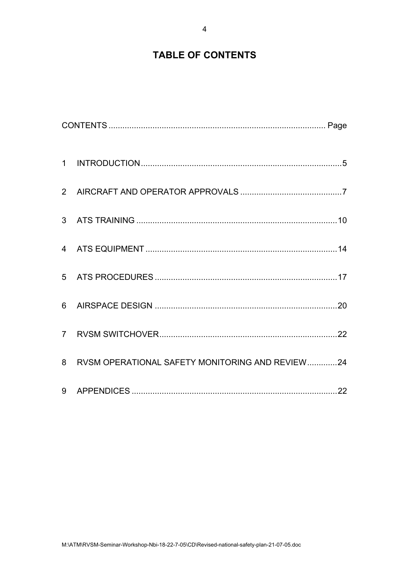## **TABLE OF CONTENTS**

| 8 RVSM OPERATIONAL SAFETY MONITORING AND REVIEW24 |  |
|---------------------------------------------------|--|
|                                                   |  |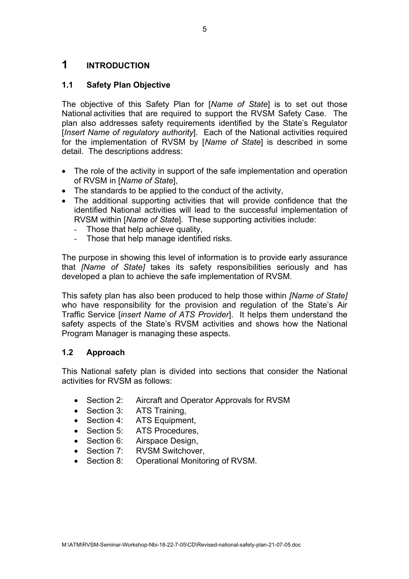## <span id="page-6-0"></span>**1 INTRODUCTION**

## **1.1 Safety Plan Objective**

The objective of this Safety Plan for [*Name of State*] is to set out those National activities that are required to support the RVSM Safety Case. The plan also addresses safety requirements identified by the State's Regulator [*Insert Name of regulatory authority*]. Each of the National activities required for the implementation of RVSM by [*Name of State*] is described in some detail. The descriptions address:

- The role of the activity in support of the safe implementation and operation of RVSM in [*Name of State*],
- The standards to be applied to the conduct of the activity,
- The additional supporting activities that will provide confidence that the identified National activities will lead to the successful implementation of RVSM within [*Name of State*]. These supporting activities include:
	- Those that help achieve quality,
	- Those that help manage identified risks.

The purpose in showing this level of information is to provide early assurance that *[Name of State]* takes its safety responsibilities seriously and has developed a plan to achieve the safe implementation of RVSM.

This safety plan has also been produced to help those within *[Name of State]* who have responsibility for the provision and regulation of the State's Air Traffic Service [*insert Name of ATS Provider*]. It helps them understand the safety aspects of the State's RVSM activities and shows how the National Program Manager is managing these aspects.

## **1.2 Approach**

This National safety plan is divided into sections that consider the National activities for RVSM as follows:

- Section 2: Aircraft and Operator Approvals for RVSM
- Section 3: ATS Training.
- Section 4: ATS Equipment,
- Section 5: ATS Procedures,
- Section 6: Airspace Design,
- Section 7: RVSM Switchover,
- Section 8: Operational Monitoring of RVSM.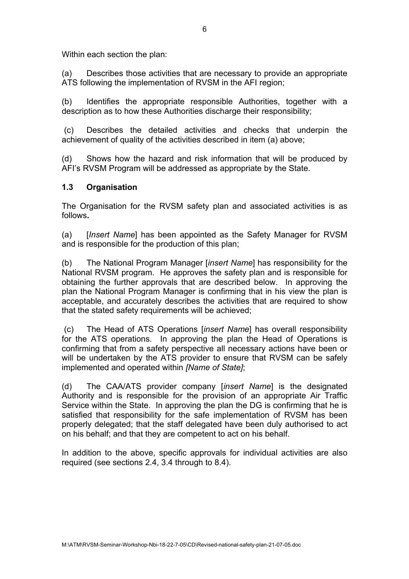Within each section the plan:

(a) Describes those activities that are necessary to provide an appropriate ATS following the implementation of RVSM in the AFI region;

(b) Identifies the appropriate responsible Authorities, together with a description as to how these Authorities discharge their responsibility;

(c) Describes the detailed activities and checks that underpin the achievement of quality of the activities described in item (a) above;

(d) Shows how the hazard and risk information that will be produced by AFI's RVSM Program will be addressed as appropriate by the State.

#### **1.3 Organisation**

The Organisation for the RVSM safety plan and associated activities is as follows**.**

(a) [*Insert Name*] has been appointed as the Safety Manager for RVSM and is responsible for the production of this plan;

(b) The National Program Manager [*insert Name*] has responsibility for the National RVSM program. He approves the safety plan and is responsible for obtaining the further approvals that are described below. In approving the plan the National Program Manager is confirming that in his view the plan is acceptable, and accurately describes the activities that are required to show that the stated safety requirements will be achieved;

(c) The Head of ATS Operations [*insert Name*] has overall responsibility for the ATS operations. In approving the plan the Head of Operations is confirming that from a safety perspective all necessary actions have been or will be undertaken by the ATS provider to ensure that RVSM can be safely implemented and operated within *[Name of State]*;

(d) The CAA/ATS provider company [*insert Name*] is the designated Authority and is responsible for the provision of an appropriate Air Traffic Service within the State. In approving the plan the DG is confirming that he is satisfied that responsibility for the safe implementation of RVSM has been properly delegated; that the staff delegated have been duly authorised to act on his behalf; and that they are competent to act on his behalf.

In addition to the above, specific approvals for individual activities are also required (see sections 2.4, 3.4 through to 8.4).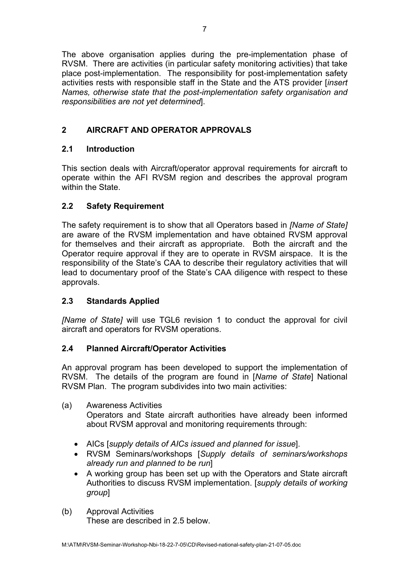<span id="page-8-0"></span>The above organisation applies during the pre-implementation phase of RVSM. There are activities (in particular safety monitoring activities) that take place post-implementation. The responsibility for post-implementation safety activities rests with responsible staff in the State and the ATS provider [*insert Names, otherwise state that the post-implementation safety organisation and responsibilities are not yet determined*].

## **2 AIRCRAFT AND OPERATOR APPROVALS**

## **2.1 Introduction**

This section deals with Aircraft/operator approval requirements for aircraft to operate within the AFI RVSM region and describes the approval program within the State.

## **2.2 Safety Requirement**

The safety requirement is to show that all Operators based in *[Name of State]* are aware of the RVSM implementation and have obtained RVSM approval for themselves and their aircraft as appropriate. Both the aircraft and the Operator require approval if they are to operate in RVSM airspace. It is the responsibility of the State's CAA to describe their regulatory activities that will lead to documentary proof of the State's CAA diligence with respect to these approvals.

## **2.3 Standards Applied**

*[Name of State]* will use TGL6 revision 1 to conduct the approval for civil aircraft and operators for RVSM operations.

## **2.4 Planned Aircraft/Operator Activities**

An approval program has been developed to support the implementation of RVSM. The details of the program are found in [*Name of State*] National RVSM Plan. The program subdivides into two main activities:

(a) Awareness Activities

Operators and State aircraft authorities have already been informed about RVSM approval and monitoring requirements through:

- AICs [*supply details of AICs issued and planned for issue*].
- RVSM Seminars/workshops [*Supply details of seminars/workshops already run and planned to be run*]
- A working group has been set up with the Operators and State aircraft Authorities to discuss RVSM implementation. [*supply details of working group*]
- (b) Approval Activities These are described in 2.5 below.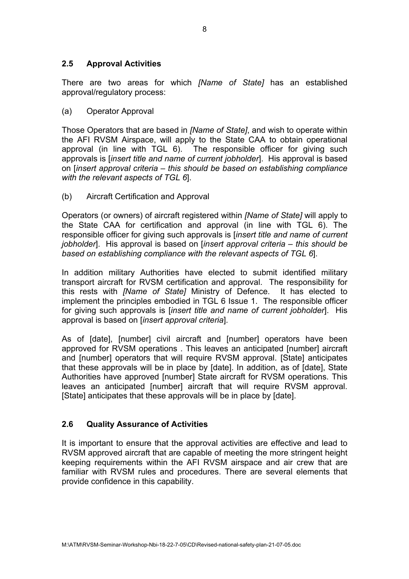## **2.5 Approval Activities**

There are two areas for which *[Name of State]* has an established approval/regulatory process:

(a) Operator Approval

Those Operators that are based in *[Name of State]*, and wish to operate within the AFI RVSM Airspace, will apply to the State CAA to obtain operational approval (in line with TGL 6). The responsible officer for giving such approvals is [*insert title and name of current jobholder*]. His approval is based on [*insert approval criteria – this should be based on establishing compliance with the relevant aspects of TGL 6*].

(b) Aircraft Certification and Approval

Operators (or owners) of aircraft registered within *[Name of State]* will apply to the State CAA for certification and approval (in line with TGL 6). The responsible officer for giving such approvals is [*insert title and name of current jobholder*]. His approval is based on [*insert approval criteria – this should be based on establishing compliance with the relevant aspects of TGL 6*].

In addition military Authorities have elected to submit identified military transport aircraft for RVSM certification and approval. The responsibility for this rests with *[Name of State]* Ministry of Defence. It has elected to implement the principles embodied in TGL 6 Issue 1. The responsible officer for giving such approvals is [*insert title and name of current jobholder*]. His approval is based on [*insert approval criteria*].

As of [date], [number] civil aircraft and [number] operators have been approved for RVSM operations . This leaves an anticipated [number] aircraft and [number] operators that will require RVSM approval. [State] anticipates that these approvals will be in place by [date]. In addition, as of [date], State Authorities have approved [number] State aircraft for RVSM operations. This leaves an anticipated [number] aircraft that will require RVSM approval. [State] anticipates that these approvals will be in place by [date].

## **2.6 Quality Assurance of Activities**

It is important to ensure that the approval activities are effective and lead to RVSM approved aircraft that are capable of meeting the more stringent height keeping requirements within the AFI RVSM airspace and air crew that are familiar with RVSM rules and procedures. There are several elements that provide confidence in this capability.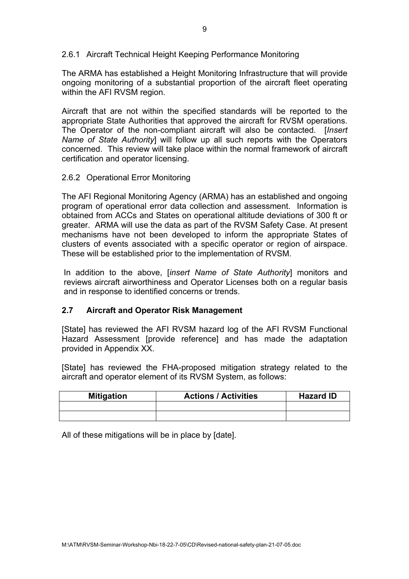2.6.1 Aircraft Technical Height Keeping Performance Monitoring

The ARMA has established a Height Monitoring Infrastructure that will provide ongoing monitoring of a substantial proportion of the aircraft fleet operating within the AFI RVSM region.

Aircraft that are not within the specified standards will be reported to the appropriate State Authorities that approved the aircraft for RVSM operations. The Operator of the non-compliant aircraft will also be contacted. [*Insert Name of State Authority*] will follow up all such reports with the Operators concerned. This review will take place within the normal framework of aircraft certification and operator licensing.

## 2.6.2 Operational Error Monitoring

The AFI Regional Monitoring Agency (ARMA) has an established and ongoing program of operational error data collection and assessment. Information is obtained from ACCs and States on operational altitude deviations of 300 ft or greater. ARMA will use the data as part of the RVSM Safety Case. At present mechanisms have not been developed to inform the appropriate States of clusters of events associated with a specific operator or region of airspace. These will be established prior to the implementation of RVSM.

In addition to the above, [*insert Name of State Authority*] monitors and reviews aircraft airworthiness and Operator Licenses both on a regular basis and in response to identified concerns or trends.

## **2.7 Aircraft and Operator Risk Management**

[State] has reviewed the AFI RVSM hazard log of the AFI RVSM Functional Hazard Assessment [provide reference] and has made the adaptation provided in Appendix XX.

[State] has reviewed the FHA-proposed mitigation strategy related to the aircraft and operator element of its RVSM System, as follows:

| <b>Mitigation</b> | <b>Actions / Activities</b> | <b>Hazard ID</b> |
|-------------------|-----------------------------|------------------|
|                   |                             |                  |
|                   |                             |                  |

All of these mitigations will be in place by [date].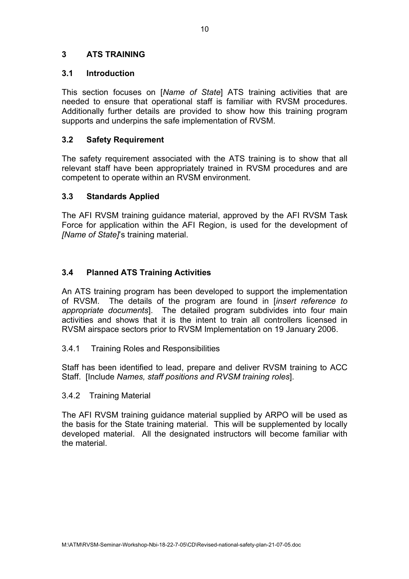## <span id="page-11-0"></span>**3 ATS TRAINING**

## **3.1 Introduction**

This section focuses on [*Name of State*] ATS training activities that are needed to ensure that operational staff is familiar with RVSM procedures. Additionally further details are provided to show how this training program supports and underpins the safe implementation of RVSM.

## **3.2 Safety Requirement**

The safety requirement associated with the ATS training is to show that all relevant staff have been appropriately trained in RVSM procedures and are competent to operate within an RVSM environment.

## **3.3 Standards Applied**

The AFI RVSM training guidance material, approved by the AFI RVSM Task Force for application within the AFI Region, is used for the development of *[Name of State]*'s training material.

## **3.4 Planned ATS Training Activities**

An ATS training program has been developed to support the implementation of RVSM. The details of the program are found in [*insert reference to appropriate documents*]. The detailed program subdivides into four main activities and shows that it is the intent to train all controllers licensed in RVSM airspace sectors prior to RVSM Implementation on 19 January 2006.

3.4.1 Training Roles and Responsibilities

Staff has been identified to lead, prepare and deliver RVSM training to ACC Staff. [Include *Names, staff positions and RVSM training roles*].

## 3.4.2 Training Material

The AFI RVSM training guidance material supplied by ARPO will be used as the basis for the State training material. This will be supplemented by locally developed material. All the designated instructors will become familiar with the material.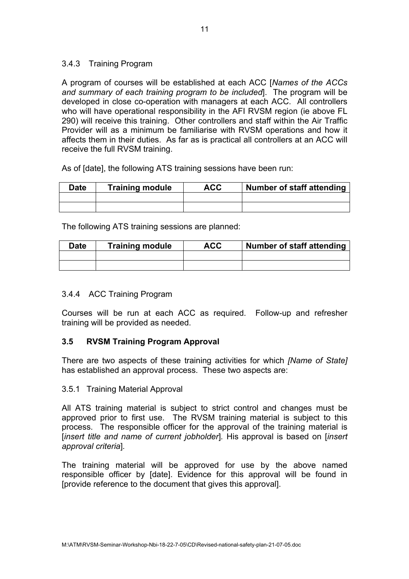## 3.4.3 Training Program

A program of courses will be established at each ACC [*Names of the ACCs and summary of each training program to be included*]. The program will be developed in close co-operation with managers at each ACC. All controllers who will have operational responsibility in the AFI RVSM region (ie above FL 290) will receive this training. Other controllers and staff within the Air Traffic Provider will as a minimum be familiarise with RVSM operations and how it affects them in their duties. As far as is practical all controllers at an ACC will receive the full RVSM training.

As of [date], the following ATS training sessions have been run:

| Date | <b>Training module</b> | ACC | <b>Number of staff attending</b> |
|------|------------------------|-----|----------------------------------|
|      |                        |     |                                  |
|      |                        |     |                                  |

The following ATS training sessions are planned:

| <b>Date</b> | Training module | ACC | Number of staff attending |
|-------------|-----------------|-----|---------------------------|
|             |                 |     |                           |
|             |                 |     |                           |

## 3.4.4 ACC Training Program

Courses will be run at each ACC as required. Follow-up and refresher training will be provided as needed.

## **3.5 RVSM Training Program Approval**

There are two aspects of these training activities for which *[Name of State]* has established an approval process. These two aspects are:

## 3.5.1 Training Material Approval

All ATS training material is subject to strict control and changes must be approved prior to first use. The RVSM training material is subject to this process. The responsible officer for the approval of the training material is [*insert title and name of current jobholder*]*.* His approval is based on [*insert approval criteria*]*.* 

The training material will be approved for use by the above named responsible officer by [date]. Evidence for this approval will be found in [provide reference to the document that gives this approval].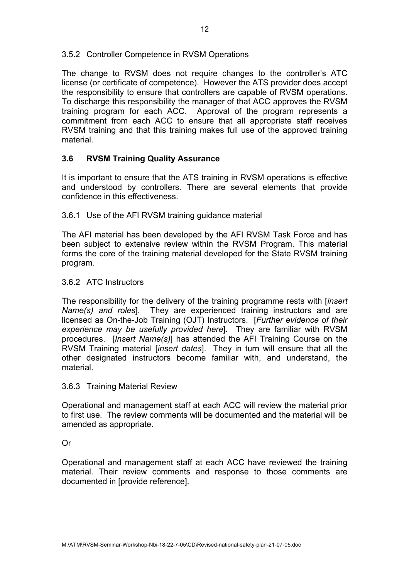## 3.5.2 Controller Competence in RVSM Operations

The change to RVSM does not require changes to the controller's ATC license (or certificate of competence). However the ATS provider does accept the responsibility to ensure that controllers are capable of RVSM operations. To discharge this responsibility the manager of that ACC approves the RVSM training program for each ACC. Approval of the program represents a commitment from each ACC to ensure that all appropriate staff receives RVSM training and that this training makes full use of the approved training material.

## **3.6 RVSM Training Quality Assurance**

It is important to ensure that the ATS training in RVSM operations is effective and understood by controllers. There are several elements that provide confidence in this effectiveness.

## 3.6.1 Use of the AFI RVSM training guidance material

The AFI material has been developed by the AFI RVSM Task Force and has been subject to extensive review within the RVSM Program. This material forms the core of the training material developed for the State RVSM training program.

#### 3.6.2 ATC Instructors

The responsibility for the delivery of the training programme rests with [*insert Name(s) and roles*]. They are experienced training instructors and are licensed as On-the-Job Training (OJT) Instructors. [*Further evidence of their experience may be usefully provided here*]*.* They are familiar with RVSM procedures. [*Insert Name(s)*] has attended the AFI Training Course on the RVSM Training material [*insert dates*]. They in turn will ensure that all the other designated instructors become familiar with, and understand, the material.

#### 3.6.3 Training Material Review

Operational and management staff at each ACC will review the material prior to first use. The review comments will be documented and the material will be amended as appropriate.

## Or

Operational and management staff at each ACC have reviewed the training material. Their review comments and response to those comments are documented in [provide reference].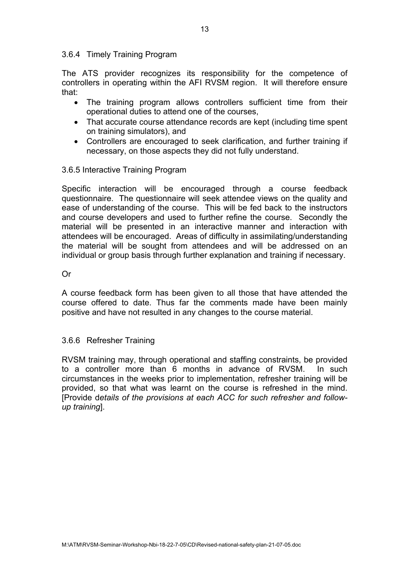#### 3.6.4 Timely Training Program

The ATS provider recognizes its responsibility for the competence of controllers in operating within the AFI RVSM region. It will therefore ensure that:

- The training program allows controllers sufficient time from their operational duties to attend one of the courses,
- That accurate course attendance records are kept (including time spent on training simulators), and
- Controllers are encouraged to seek clarification, and further training if necessary, on those aspects they did not fully understand.

#### 3.6.5 Interactive Training Program

Specific interaction will be encouraged through a course feedback questionnaire. The questionnaire will seek attendee views on the quality and ease of understanding of the course. This will be fed back to the instructors and course developers and used to further refine the course. Secondly the material will be presented in an interactive manner and interaction with attendees will be encouraged. Areas of difficulty in assimilating/understanding the material will be sought from attendees and will be addressed on an individual or group basis through further explanation and training if necessary.

#### Or

A course feedback form has been given to all those that have attended the course offered to date. Thus far the comments made have been mainly positive and have not resulted in any changes to the course material.

## 3.6.6 Refresher Training

RVSM training may, through operational and staffing constraints, be provided to a controller more than 6 months in advance of RVSM. In such circumstances in the weeks prior to implementation, refresher training will be provided, so that what was learnt on the course is refreshed in the mind. [Provide d*etails of the provisions at each ACC for such refresher and followup training*].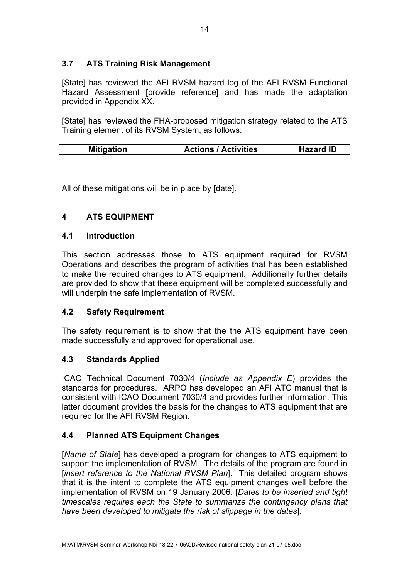## <span id="page-15-0"></span>**3.7 ATS Training Risk Management**

[State] has reviewed the AFI RVSM hazard log of the AFI RVSM Functional Hazard Assessment [provide reference] and has made the adaptation provided in Appendix XX.

[State] has reviewed the FHA-proposed mitigation strategy related to the ATS Training element of its RVSM System, as follows:

| <b>Mitigation</b> | <b>Actions / Activities</b> | <b>Hazard ID</b> |
|-------------------|-----------------------------|------------------|
|                   |                             |                  |
|                   |                             |                  |

All of these mitigations will be in place by [date].

## **4 ATS EQUIPMENT**

## **4.1 Introduction**

This section addresses those to ATS equipment required for RVSM Operations and describes the program of activities that has been established to make the required changes to ATS equipment. Additionally further details are provided to show that these equipment will be completed successfully and will underpin the safe implementation of RVSM.

## **4.2 Safety Requirement**

The safety requirement is to show that the the ATS equipment have been made successfully and approved for operational use.

## **4.3 Standards Applied**

ICAO Technical Document 7030/4 (*Include as Appendix E*) provides the standards for procedures. ARPO has developed an AFI ATC manual that is consistent with ICAO Document 7030/4 and provides further information. This latter document provides the basis for the changes to ATS equipment that are required for the AFI RVSM Region.

## **4.4 Planned ATS Equipment Changes**

[*Name of State*] has developed a program for changes to ATS equipment to support the implementation of RVSM. The details of the program are found in [*insert reference to the National RVSM Plan*]. This detailed program shows that it is the intent to complete the ATS equipment changes well before the implementation of RVSM on 19 January 2006. [*Dates to be inserted and tight timescales requires each the State to summarize the contingency plans that have been developed to mitigate the risk of slippage in the dates*].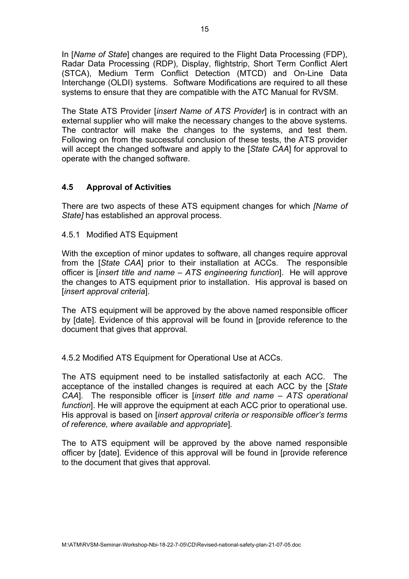In [*Name of State*] changes are required to the Flight Data Processing (FDP), Radar Data Processing (RDP), Display, flightstrip, Short Term Conflict Alert (STCA), Medium Term Conflict Detection (MTCD) and On-Line Data Interchange (OLDI) systems. Software Modifications are required to all these systems to ensure that they are compatible with the ATC Manual for RVSM.

The State ATS Provider [*insert Name of ATS Provider*] is in contract with an external supplier who will make the necessary changes to the above systems. The contractor will make the changes to the systems, and test them. Following on from the successful conclusion of these tests, the ATS provider will accept the changed software and apply to the [*State CAA*] for approval to operate with the changed software.

## **4.5 Approval of Activities**

There are two aspects of these ATS equipment changes for which *[Name of State]* has established an approval process.

4.5.1 Modified ATS Equipment

With the exception of minor updates to software, all changes require approval from the [*State CAA*] prior to their installation at ACCs. The responsible officer is [*insert title and name – ATS engineering function*]. He will approve the changes to ATS equipment prior to installation. His approval is based on [*insert approval criteria*].

The ATS equipment will be approved by the above named responsible officer by [date]. Evidence of this approval will be found in [provide reference to the document that gives that approval*.* 

4.5.2 Modified ATS Equipment for Operational Use at ACCs.

The ATS equipment need to be installed satisfactorily at each ACC. The acceptance of the installed changes is required at each ACC by the [*State CAA*]*.* The responsible officer is [*insert title and name – ATS operational function*]. He will approve the equipment at each ACC prior to operational use. His approval is based on [*insert approval criteria or responsible officer's terms of reference, where available and appropriate*]*.* 

The to ATS equipment will be approved by the above named responsible officer by [date]. Evidence of this approval will be found in [provide reference to the document that gives that approval*.*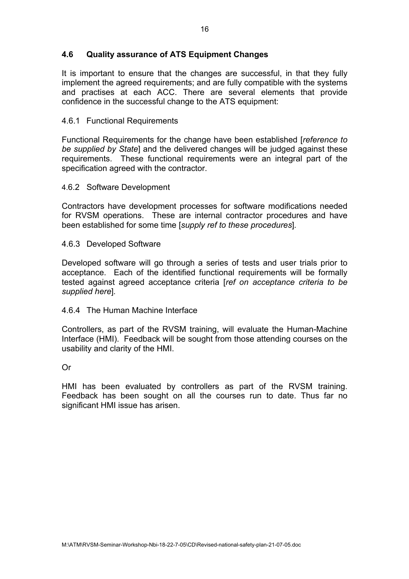## **4.6 Quality assurance of ATS Equipment Changes**

It is important to ensure that the changes are successful, in that they fully implement the agreed requirements; and are fully compatible with the systems and practises at each ACC. There are several elements that provide confidence in the successful change to the ATS equipment:

#### 4.6.1 Functional Requirements

Functional Requirements for the change have been established [*reference to be supplied by State*] and the delivered changes will be judged against these requirements. These functional requirements were an integral part of the specification agreed with the contractor.

#### 4.6.2 Software Development

Contractors have development processes for software modifications needed for RVSM operations. These are internal contractor procedures and have been established for some time [*supply ref to these procedures*]*.* 

#### 4.6.3 Developed Software

Developed software will go through a series of tests and user trials prior to acceptance. Each of the identified functional requirements will be formally tested against agreed acceptance criteria [*ref on acceptance criteria to be supplied here*]*.* 

#### 4.6.4 The Human Machine Interface

Controllers, as part of the RVSM training, will evaluate the Human-Machine Interface (HMI). Feedback will be sought from those attending courses on the usability and clarity of the HMI.

Or

HMI has been evaluated by controllers as part of the RVSM training. Feedback has been sought on all the courses run to date. Thus far no significant HMI issue has arisen.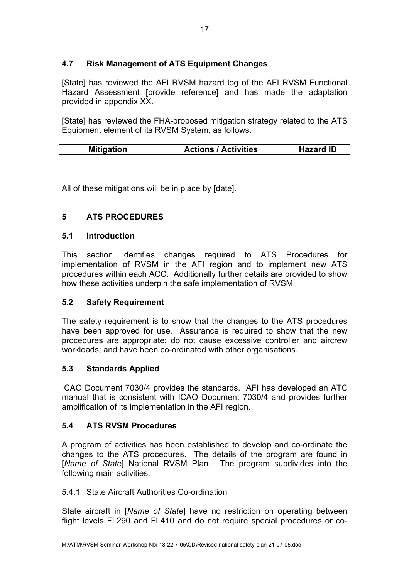## <span id="page-18-0"></span>**4.7 Risk Management of ATS Equipment Changes**

[State] has reviewed the AFI RVSM hazard log of the AFI RVSM Functional Hazard Assessment [provide reference] and has made the adaptation provided in appendix XX.

[State] has reviewed the FHA-proposed mitigation strategy related to the ATS Equipment element of its RVSM System, as follows:

| <b>Mitigation</b> | <b>Actions / Activities</b> | <b>Hazard ID</b> |
|-------------------|-----------------------------|------------------|
|                   |                             |                  |
|                   |                             |                  |

All of these mitigations will be in place by [date].

## **5 ATS PROCEDURES**

## **5.1 Introduction**

This section identifies changes required to ATS Procedures for implementation of RVSM in the AFI region and to implement new ATS procedures within each ACC. Additionally further details are provided to show how these activities underpin the safe implementation of RVSM.

## **5.2 Safety Requirement**

The safety requirement is to show that the changes to the ATS procedures have been approved for use. Assurance is required to show that the new procedures are appropriate; do not cause excessive controller and aircrew workloads; and have been co-ordinated with other organisations.

## **5.3 Standards Applied**

ICAO Document 7030/4 provides the standards. AFI has developed an ATC manual that is consistent with ICAO Document 7030/4 and provides further amplification of its implementation in the AFI region.

## **5.4 ATS RVSM Procedures**

A program of activities has been established to develop and co-ordinate the changes to the ATS procedures. The details of the program are found in [*Name of State*] National RVSM Plan. The program subdivides into the following main activities:

## 5.4.1 State Aircraft Authorities Co-ordination

State aircraft in [*Name of State*] have no restriction on operating between flight levels FL290 and FL410 and do not require special procedures or co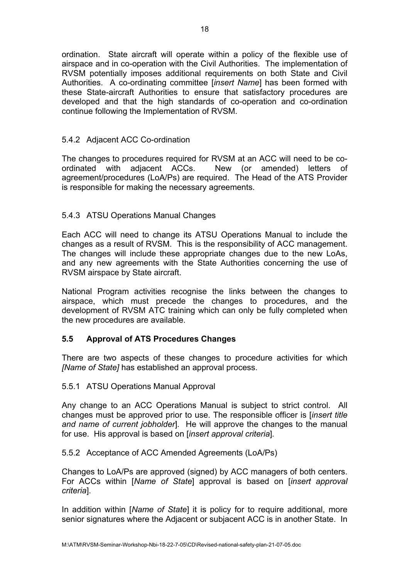ordination. State aircraft will operate within a policy of the flexible use of airspace and in co-operation with the Civil Authorities. The implementation of RVSM potentially imposes additional requirements on both State and Civil Authorities. A co-ordinating committee [*insert Name*] has been formed with these State-aircraft Authorities to ensure that satisfactory procedures are developed and that the high standards of co-operation and co-ordination continue following the Implementation of RVSM.

## 5.4.2 Adjacent ACC Co-ordination

The changes to procedures required for RVSM at an ACC will need to be coordinated with adjacent ACCs. New (or amended) letters of agreement/procedures (LoA/Ps) are required. The Head of the ATS Provider is responsible for making the necessary agreements.

## 5.4.3 ATSU Operations Manual Changes

Each ACC will need to change its ATSU Operations Manual to include the changes as a result of RVSM. This is the responsibility of ACC management. The changes will include these appropriate changes due to the new LoAs, and any new agreements with the State Authorities concerning the use of RVSM airspace by State aircraft.

National Program activities recognise the links between the changes to airspace, which must precede the changes to procedures, and the development of RVSM ATC training which can only be fully completed when the new procedures are available.

## **5.5 Approval of ATS Procedures Changes**

There are two aspects of these changes to procedure activities for which *[Name of State]* has established an approval process.

## 5.5.1 ATSU Operations Manual Approval

Any change to an ACC Operations Manual is subject to strict control. All changes must be approved prior to use. The responsible officer is [*insert title and name of current jobholder*]*.* He will approve the changes to the manual for use. His approval is based on [*insert approval criteria*]*.* 

## 5.5.2 Acceptance of ACC Amended Agreements (LoA/Ps)

Changes to LoA/Ps are approved (signed) by ACC managers of both centers. For ACCs within [*Name of State*] approval is based on [*insert approval criteria*].

In addition within [*Name of State*] it is policy for to require additional, more senior signatures where the Adjacent or subjacent ACC is in another State. In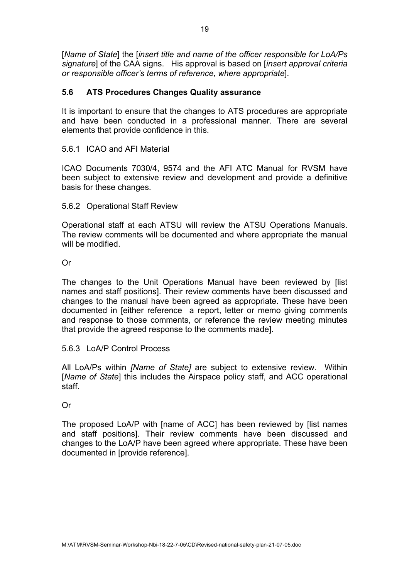[*Name of State*] the [*insert title and name of the officer responsible for LoA/Ps signature*] of the CAA signs. His approval is based on [*insert approval criteria or responsible officer's terms of reference, where appropriate*].

## **5.6 ATS Procedures Changes Quality assurance**

It is important to ensure that the changes to ATS procedures are appropriate and have been conducted in a professional manner. There are several elements that provide confidence in this.

## 5.6.1 ICAO and AFI Material

ICAO Documents 7030/4, 9574 and the AFI ATC Manual for RVSM have been subject to extensive review and development and provide a definitive basis for these changes.

## 5.6.2 Operational Staff Review

Operational staff at each ATSU will review the ATSU Operations Manuals. The review comments will be documented and where appropriate the manual will be modified.

## Or

The changes to the Unit Operations Manual have been reviewed by [list names and staff positions]. Their review comments have been discussed and changes to the manual have been agreed as appropriate. These have been documented in [either reference a report, letter or memo giving comments and response to those comments, or reference the review meeting minutes that provide the agreed response to the comments made].

## 5.6.3 LoA/P Control Process

All LoA/Ps within *[Name of State]* are subject to extensive review. Within [*Name of State*] this includes the Airspace policy staff, and ACC operational staff.

## Or

The proposed LoA/P with [name of ACC] has been reviewed by [list names and staff positions]. Their review comments have been discussed and changes to the LoA/P have been agreed where appropriate. These have been documented in [provide reference].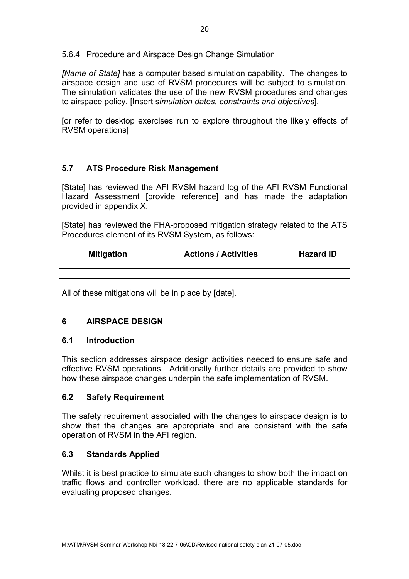<span id="page-21-0"></span>5.6.4 Procedure and Airspace Design Change Simulation

*[Name of State]* has a computer based simulation capability. The changes to airspace design and use of RVSM procedures will be subject to simulation. The simulation validates the use of the new RVSM procedures and changes to airspace policy. [Insert s*imulation dates, constraints and objectives*].

[or refer to desktop exercises run to explore throughout the likely effects of RVSM operations]

## **5.7 ATS Procedure Risk Management**

[State] has reviewed the AFI RVSM hazard log of the AFI RVSM Functional Hazard Assessment [provide reference] and has made the adaptation provided in appendix X.

[State] has reviewed the FHA-proposed mitigation strategy related to the ATS Procedures element of its RVSM System, as follows:

| <b>Mitigation</b> | <b>Actions / Activities</b> | <b>Hazard ID</b> |
|-------------------|-----------------------------|------------------|
|                   |                             |                  |
|                   |                             |                  |

All of these mitigations will be in place by [date].

## **6 AIRSPACE DESIGN**

## **6.1 Introduction**

This section addresses airspace design activities needed to ensure safe and effective RVSM operations. Additionally further details are provided to show how these airspace changes underpin the safe implementation of RVSM.

## **6.2 Safety Requirement**

The safety requirement associated with the changes to airspace design is to show that the changes are appropriate and are consistent with the safe operation of RVSM in the AFI region.

## **6.3 Standards Applied**

Whilst it is best practice to simulate such changes to show both the impact on traffic flows and controller workload, there are no applicable standards for evaluating proposed changes.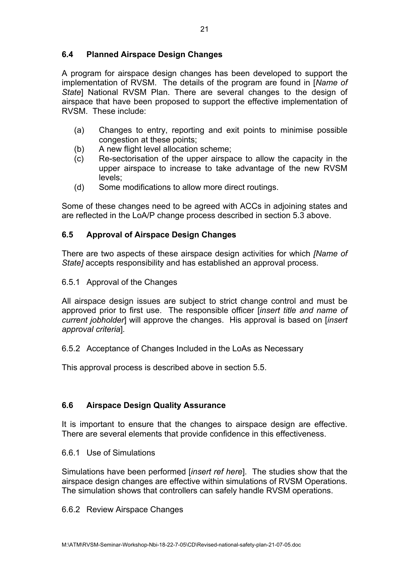## **6.4 Planned Airspace Design Changes**

A program for airspace design changes has been developed to support the implementation of RVSM. The details of the program are found in [*Name of State*] National RVSM Plan. There are several changes to the design of airspace that have been proposed to support the effective implementation of RVSM. These include:

- (a) Changes to entry, reporting and exit points to minimise possible congestion at these points;
- (b) A new flight level allocation scheme;
- (c) Re-sectorisation of the upper airspace to allow the capacity in the upper airspace to increase to take advantage of the new RVSM levels;
- (d) Some modifications to allow more direct routings.

Some of these changes need to be agreed with ACCs in adjoining states and are reflected in the LoA/P change process described in section 5.3 above.

## **6.5 Approval of Airspace Design Changes**

There are two aspects of these airspace design activities for which *[Name of State]* accepts responsibility and has established an approval process.

6.5.1 Approval of the Changes

All airspace design issues are subject to strict change control and must be approved prior to first use. The responsible officer [*insert title and name of current jobholder*] will approve the changes. His approval is based on [*insert approval criteria*]*.* 

## 6.5.2 Acceptance of Changes Included in the LoAs as Necessary

This approval process is described above in section 5.5.

## **6.6 Airspace Design Quality Assurance**

It is important to ensure that the changes to airspace design are effective. There are several elements that provide confidence in this effectiveness.

## 6.6.1 Use of Simulations

Simulations have been performed [*insert ref here*]. The studies show that the airspace design changes are effective within simulations of RVSM Operations. The simulation shows that controllers can safely handle RVSM operations.

## 6.6.2 Review Airspace Changes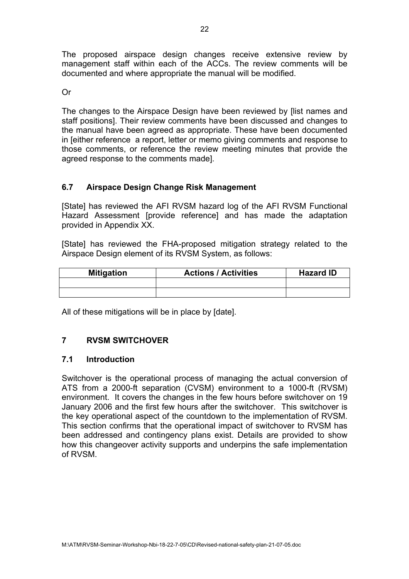<span id="page-23-0"></span>The proposed airspace design changes receive extensive review by management staff within each of the ACCs. The review comments will be documented and where appropriate the manual will be modified.

Or

The changes to the Airspace Design have been reviewed by [list names and staff positions]. Their review comments have been discussed and changes to the manual have been agreed as appropriate. These have been documented in [either reference a report, letter or memo giving comments and response to those comments, or reference the review meeting minutes that provide the agreed response to the comments made].

## **6.7 Airspace Design Change Risk Management**

[State] has reviewed the AFI RVSM hazard log of the AFI RVSM Functional Hazard Assessment [provide reference] and has made the adaptation provided in Appendix XX.

[State] has reviewed the FHA-proposed mitigation strategy related to the Airspace Design element of its RVSM System, as follows:

| <b>Mitigation</b> | <b>Actions / Activities</b> | <b>Hazard ID</b> |
|-------------------|-----------------------------|------------------|
|                   |                             |                  |
|                   |                             |                  |

All of these mitigations will be in place by [date].

## **7 RVSM SWITCHOVER**

## **7.1 Introduction**

Switchover is the operational process of managing the actual conversion of ATS from a 2000-ft separation (CVSM) environment to a 1000-ft (RVSM) environment. It covers the changes in the few hours before switchover on 19 January 2006 and the first few hours after the switchover. This switchover is the key operational aspect of the countdown to the implementation of RVSM. This section confirms that the operational impact of switchover to RVSM has been addressed and contingency plans exist. Details are provided to show how this changeover activity supports and underpins the safe implementation of RVSM.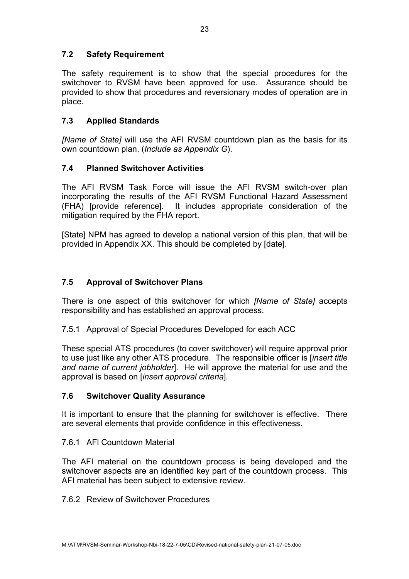## **7.2 Safety Requirement**

The safety requirement is to show that the special procedures for the switchover to RVSM have been approved for use. Assurance should be provided to show that procedures and reversionary modes of operation are in place.

## **7.3 Applied Standards**

*[Name of State]* will use the AFI RVSM countdown plan as the basis for its own countdown plan. (*Include as Appendix G*).

## **7.4 Planned Switchover Activities**

The AFI RVSM Task Force will issue the AFI RVSM switch-over plan incorporating the results of the AFI RVSM Functional Hazard Assessment (FHA) [provide reference]. It includes appropriate consideration of the mitigation required by the FHA report.

[State] NPM has agreed to develop a national version of this plan, that will be provided in Appendix XX. This should be completed by [date].

## **7.5 Approval of Switchover Plans**

There is one aspect of this switchover for which *[Name of State]* accepts responsibility and has established an approval process.

## 7.5.1 Approval of Special Procedures Developed for each ACC

These special ATS procedures (to cover switchover) will require approval prior to use just like any other ATS procedure. The responsible officer is [*insert title and name of current jobholder*]*.* He will approve the material for use and the approval is based on [*insert approval criteria*]*.* 

## **7.6 Switchover Quality Assurance**

It is important to ensure that the planning for switchover is effective. There are several elements that provide confidence in this effectiveness.

## 7.6.1 AFl Countdown Material

The AFI material on the countdown process is being developed and the switchover aspects are an identified key part of the countdown process. This AFI material has been subject to extensive review.

## 7.6.2 Review of Switchover Procedures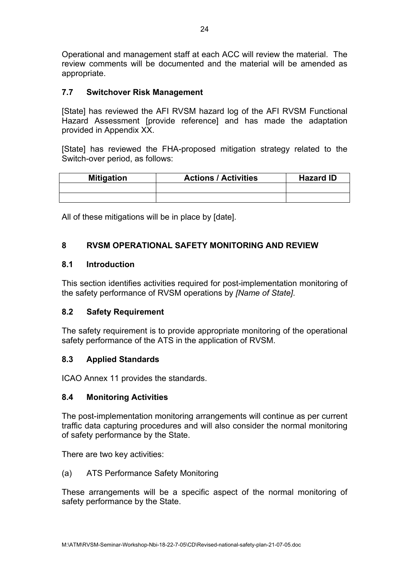<span id="page-25-0"></span>Operational and management staff at each ACC will review the material. The review comments will be documented and the material will be amended as appropriate.

## **7.7 Switchover Risk Management**

[State] has reviewed the AFI RVSM hazard log of the AFI RVSM Functional Hazard Assessment [provide reference] and has made the adaptation provided in Appendix XX.

[State] has reviewed the FHA-proposed mitigation strategy related to the Switch-over period, as follows:

| <b>Mitigation</b> | <b>Actions / Activities</b> | Hazard ID |
|-------------------|-----------------------------|-----------|
|                   |                             |           |
|                   |                             |           |

All of these mitigations will be in place by [date].

## **8 RVSM OPERATIONAL SAFETY MONITORING AND REVIEW**

## **8.1 Introduction**

This section identifies activities required for post-implementation monitoring of the safety performance of RVSM operations by *[Name of State]*.

## **8.2 Safety Requirement**

The safety requirement is to provide appropriate monitoring of the operational safety performance of the ATS in the application of RVSM.

## **8.3 Applied Standards**

ICAO Annex 11 provides the standards.

## **8.4 Monitoring Activities**

The post-implementation monitoring arrangements will continue as per current traffic data capturing procedures and will also consider the normal monitoring of safety performance by the State.

There are two key activities:

## (a) ATS Performance Safety Monitoring

These arrangements will be a specific aspect of the normal monitoring of safety performance by the State.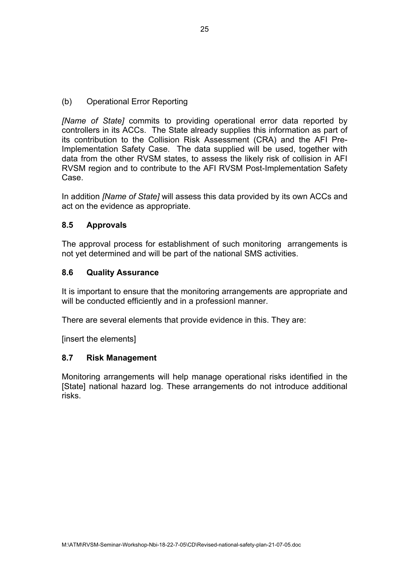(b) Operational Error Reporting

*[Name of State]* commits to providing operational error data reported by controllers in its ACCs. The State already supplies this information as part of its contribution to the Collision Risk Assessment (CRA) and the AFI Pre-Implementation Safety Case. The data supplied will be used, together with data from the other RVSM states, to assess the likely risk of collision in AFI RVSM region and to contribute to the AFI RVSM Post-Implementation Safety Case.

In addition *[Name of State]* will assess this data provided by its own ACCs and act on the evidence as appropriate.

## **8.5 Approvals**

The approval process for establishment of such monitoring arrangements is not yet determined and will be part of the national SMS activities.

#### **8.6 Quality Assurance**

It is important to ensure that the monitoring arrangements are appropriate and will be conducted efficiently and in a professionl manner.

There are several elements that provide evidence in this. They are:

[insert the elements]

#### **8.7 Risk Management**

Monitoring arrangements will help manage operational risks identified in the [State] national hazard log. These arrangements do not introduce additional risks.